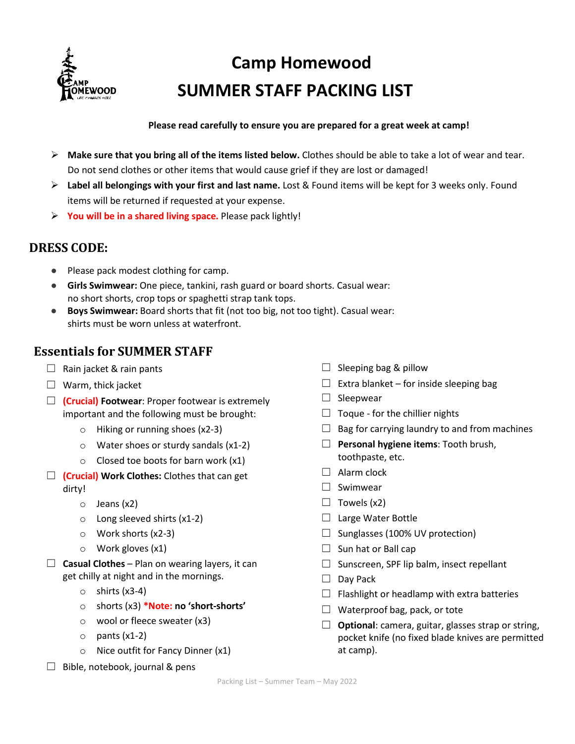

# **Camp Homewood SUMMER STAFF PACKING LIST**

#### **Please read carefully to ensure you are prepared for a great week at camp!**

- **Make sure that you bring all of the items listed below.** Clothes should be able to take a lot of wear and tear. Do not send clothes or other items that would cause grief if they are lost or damaged!
- **Label all belongings with your first and last name.** Lost & Found items will be kept for 3 weeks only. Found items will be returned if requested at your expense.
- **You will be in a shared living space.** Please pack lightly!

## **DRESS CODE:**

- Please pack modest clothing for camp.
- **Girls Swimwear:** One piece, tankini, rash guard or board shorts. Casual wear: no short shorts, crop tops or spaghetti strap tank tops.
- **Boys Swimwear:** Board shorts that fit (not too big, not too tight). Casual wear: shirts must be worn unless at waterfront.

### **Essentials for SUMMER STAFF**

- $\Box$  Rain jacket & rain pants
- $\Box$  Warm, thick jacket
- ☐ **(Crucial) Footwear**: Proper footwear is extremely important and the following must be brought:
	- o Hiking or running shoes (x2-3)
	- o Water shoes or sturdy sandals (x1-2)
	- $\circ$  Closed toe boots for barn work (x1)
- ☐ **(Crucial) Work Clothes:** Clothes that can get dirty!
	- o Jeans (x2)
	- o Long sleeved shirts (x1-2)
	- o Work shorts (x2-3)
	- o Work gloves (x1)
- ☐ **Casual Clothes** Plan on wearing layers, it can get chilly at night and in the mornings.
	- $\circ$  shirts (x3-4)
	- o shorts (x3) **\*Note: no 'short-shorts'**
	- o wool or fleece sweater (x3)
	- $\circ$  pants (x1-2)
	- o Nice outfit for Fancy Dinner (x1)
- $\Box$  Bible, notebook, journal & pens
- $\Box$  Sleeping bag & pillow
- $\Box$  Extra blanket for inside sleeping bag
- □ Sleepwear
- $\Box$  Toque for the chillier nights
- $\Box$  Bag for carrying laundry to and from machines
- ☐ **Personal hygiene items**: Tooth brush, toothpaste, etc.
- $\Box$  Alarm clock
- ☐ Swimwear
- $\Box$  Towels (x2)
- □ Large Water Bottle
- $\Box$  Sunglasses (100% UV protection)
- $\Box$  Sun hat or Ball cap
- □ Sunscreen, SPF lip balm, insect repellant
- $\Box$  Day Pack
- $\Box$  Flashlight or headlamp with extra batteries
- $\Box$  Waterproof bag, pack, or tote
- ☐ **Optional**: camera, guitar, glasses strap or string, pocket knife (no fixed blade knives are permitted at camp).